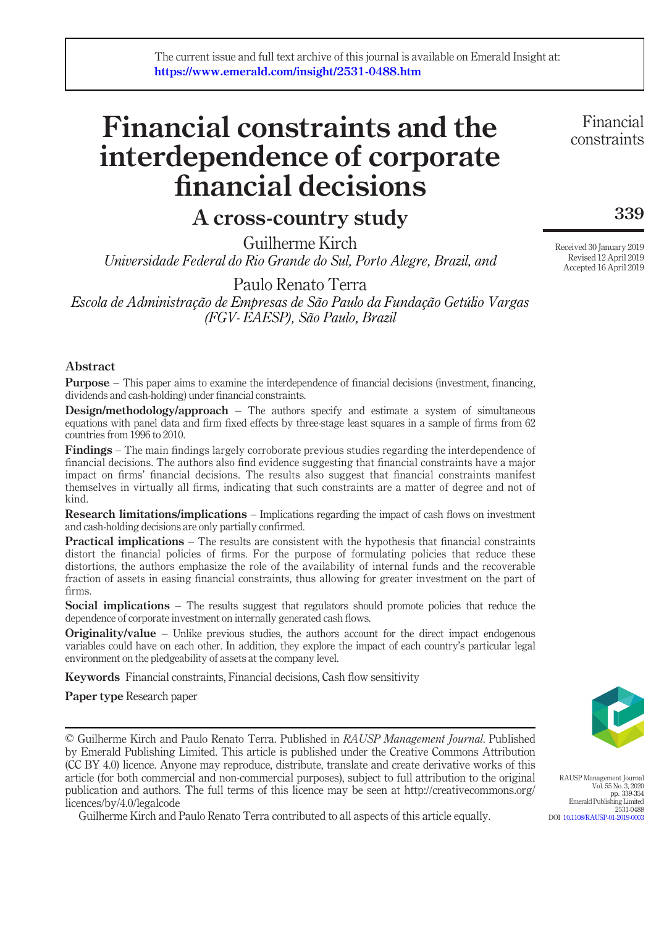# Financial constraints and the interdependence of corporate financial decisions

## A cross-country study

Guilherme Kirch Universidade Federal do Rio Grande do Sul, Porto Alegre, Brazil, and

Paulo Renato Terra Escola de Administração de Empresas de São Paulo da Fundação Getúlio Vargas (FGV- EAESP), São Paulo, Brazil

### Abstract

**Purpose** – This paper aims to examine the interdependence of financial decisions (investment, financing, dividends and cash-holding) under financial constraints.

**Design/methodology/approach** – The authors specify and estimate a system of simultaneous equations with panel data and firm fixed effects by three-stage least squares in a sample of firms from 62 countries from 1996 to 2010.

Findings – The main findings largely corroborate previous studies regarding the interdependence of financial decisions. The authors also find evidence suggesting that financial constraints have a major impact on firms' financial decisions. The results also suggest that financial constraints manifest themselves in virtually all firms, indicating that such constraints are a matter of degree and not of kind.

**Research limitations/implications** – Implications regarding the impact of cash flows on investment and cash-holding decisions are only partially confirmed.

**Practical implications** – The results are consistent with the hypothesis that financial constraints distort the financial policies of firms. For the purpose of formulating policies that reduce these distortions, the authors emphasize the role of the availability of internal funds and the recoverable fraction of assets in easing financial constraints, thus allowing for greater investment on the part of firms.

Social implications – The results suggest that regulators should promote policies that reduce the dependence of corporate investment on internally generated cash flows.

Originality/value – Unlike previous studies, the authors account for the direct impact endogenous variables could have on each other. In addition, they explore the impact of each country's particular legal environment on the pledgeability of assets at the company level.

Keywords Financial constraints, Financial decisions, Cash flow sensitivity

Paper type Research paper

© Guilherme Kirch and Paulo Renato Terra. Published in RAUSP Management Journal. Published by Emerald Publishing Limited. This article is published under the Creative Commons Attribution (CC BY 4.0) licence. Anyone may reproduce, distribute, translate and create derivative works of this article (for both commercial and non-commercial purposes), subject to full attribution to the original publication and authors. The full terms of this licence may be seen at http://creativecommons.org/ licences/by/4.0/legalcode

Guilherme Kirch and Paulo Renato Terra contributed to all aspects of this article equally.

RAUSP Management Journal Vol. 55 No. 3, 2020 pp. 339-354 Emerald Publishing Limited

2531-0488 DOI [10.1108/RAUSP-01-2019-0003](http://dx.doi.org/10.1108/RAUSP-01-2019-0003)

Received 30 January 2019 Revised 12 April 2019 Accepted 16 April 2019

Financial constraints

339

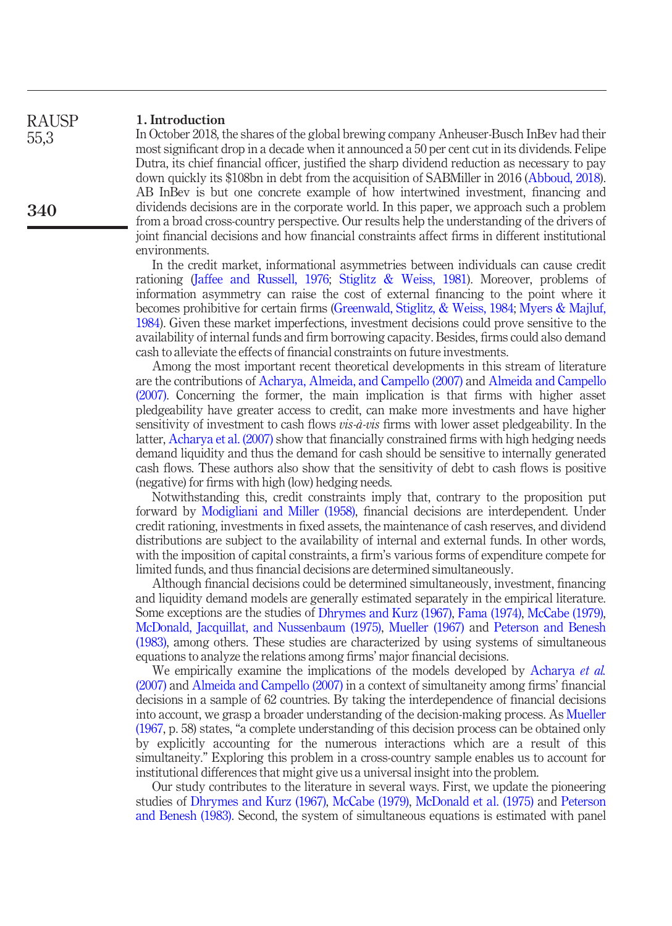#### 1. Introduction RAUSP

55,3

340

In October 2018, the shares of the global brewing company Anheuser-Busch InBev had their most significant drop in a decade when it announced a 50 per cent cut in its dividends. Felipe Dutra, its chief financial officer, justified the sharp dividend reduction as necessary to pay down quickly its \$108bn in debt from the acquisition of SABMiller in 2016 ([Abboud, 2018\)](#page-14-0). AB InBev is but one concrete example of how intertwined investment, financing and dividends decisions are in the corporate world. In this paper, we approach such a problem from a broad cross-country perspective. Our results help the understanding of the drivers of joint financial decisions and how financial constraints affect firms in different institutional environments.

In the credit market, informational asymmetries between individuals can cause credit rationing ([Jaffee and Russell, 1976;](#page-15-0) [Stiglitz & Weiss, 1981\)](#page-15-1). Moreover, problems of information asymmetry can raise the cost of external financing to the point where it becomes prohibitive for certain firms [\(Greenwald, Stiglitz, & Weiss, 1984](#page-15-2); [Myers & Majluf,](#page-15-3) [1984](#page-15-3)). Given these market imperfections, investment decisions could prove sensitive to the availability of internal funds and firm borrowing capacity. Besides, firms could also demand cash to alleviate the effects of financial constraints on future investments.

Among the most important recent theoretical developments in this stream of literature are the contributions of [Acharya, Almeida, and Campello \(2007\)](#page-14-1) and [Almeida and Campello](#page-14-2) [\(2007\)](#page-14-2). Concerning the former, the main implication is that firms with higher asset pledgeability have greater access to credit, can make more investments and have higher sensitivity of investment to cash flows *vis-à-vis* firms with lower asset pledgeability. In the latter, [Acharya et al. \(2007\)](#page-14-1) show that financially constrained firms with high hedging needs demand liquidity and thus the demand for cash should be sensitive to internally generated cash flows. These authors also show that the sensitivity of debt to cash flows is positive (negative) for firms with high (low) hedging needs.

Notwithstanding this, credit constraints imply that, contrary to the proposition put forward by [Modigliani and Miller \(1958\),](#page-15-4) financial decisions are interdependent. Under credit rationing, investments in fixed assets, the maintenance of cash reserves, and dividend distributions are subject to the availability of internal and external funds. In other words, with the imposition of capital constraints, a firm's various forms of expenditure compete for limited funds, and thus financial decisions are determined simultaneously.

Although financial decisions could be determined simultaneously, investment, financing and liquidity demand models are generally estimated separately in the empirical literature. Some exceptions are the studies of [Dhrymes and Kurz \(1967\),](#page-14-3) [Fama \(1974\)](#page-14-4), [McCabe \(1979\),](#page-15-5) [McDonald, Jacquillat, and Nussenbaum \(1975\)](#page-15-6), [Mueller \(1967\)](#page-15-7) and [Peterson and Benesh](#page-15-8) [\(1983\)](#page-15-8), among others. These studies are characterized by using systems of simultaneous equations to analyze the relations among firms' major financial decisions.

We empirically examine the implications of the models developed by [Acharya](#page-14-1) *et al.* [\(2007\)](#page-14-1) and [Almeida and Campello \(2007\)](#page-14-2) in a context of simultaneity among firms' financial decisions in a sample of 62 countries. By taking the interdependence of financial decisions into account, we grasp a broader understanding of the decision-making process. As [Mueller](#page-15-7) [\(1967,](#page-15-7) p. 58) states, "a complete understanding of this decision process can be obtained only by explicitly accounting for the numerous interactions which are a result of this simultaneity." Exploring this problem in a cross-country sample enables us to account for institutional differences that might give us a universal insight into the problem.

Our study contributes to the literature in several ways. First, we update the pioneering studies of [Dhrymes and Kurz \(1967\)](#page-14-3), [McCabe \(1979\)](#page-15-5), [McDonald et al. \(1975\)](#page-15-6) and [Peterson](#page-15-8) [and Benesh \(1983\).](#page-15-8) Second, the system of simultaneous equations is estimated with panel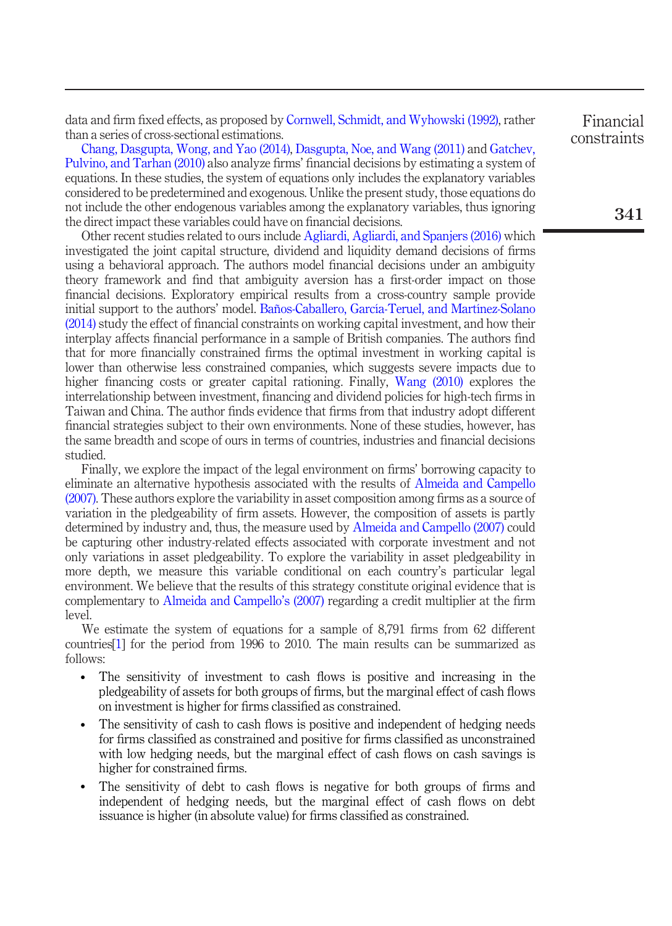data and firm fixed effects, as proposed by [Cornwell, Schmidt, and Wyhowski \(1992\)](#page-14-5), rather than a series of cross-sectional estimations.

[Chang, Dasgupta, Wong, and Yao \(2014\),](#page-14-6) [Dasgupta, Noe, and Wang \(2011\)](#page-14-7) and [Gatchev,](#page-15-9) [Pulvino, and Tarhan \(2010\)](#page-15-9) also analyze firms' financial decisions by estimating a system of equations. In these studies, the system of equations only includes the explanatory variables considered to be predetermined and exogenous. Unlike the present study, those equations do not include the other endogenous variables among the explanatory variables, thus ignoring the direct impact these variables could have on financial decisions.

Other recent studies related to ours include [Agliardi, Agliardi, and Spanjers \(2016\)](#page-14-8) which investigated the joint capital structure, dividend and liquidity demand decisions of firms using a behavioral approach. The authors model financial decisions under an ambiguity theory framework and find that ambiguity aversion has a first-order impact on those financial decisions. Exploratory empirical results from a cross-country sample provide initial support to the authors' model. [Baños-Caballero, García-Teruel, and Martínez-Solano](#page-14-9) [\(2014\)](#page-14-9) study the effect of financial constraints on working capital investment, and how their interplay affects financial performance in a sample of British companies. The authors find that for more financially constrained firms the optimal investment in working capital is lower than otherwise less constrained companies, which suggests severe impacts due to higher financing costs or greater capital rationing. Finally, [Wang \(2010\)](#page-15-10) explores the interrelationship between investment, financing and dividend policies for high-tech firms in Taiwan and China. The author finds evidence that firms from that industry adopt different financial strategies subject to their own environments. None of these studies, however, has the same breadth and scope of ours in terms of countries, industries and financial decisions studied.

Finally, we explore the impact of the legal environment on firms' borrowing capacity to eliminate an alternative hypothesis associated with the results of [Almeida and Campello](#page-14-2) [\(2007\)](#page-14-2). These authors explore the variability in asset composition among firms as a source of variation in the pledgeability of firm assets. However, the composition of assets is partly determined by industry and, thus, the measure used by [Almeida and Campello \(2007\)](#page-14-2) could be capturing other industry-related effects associated with corporate investment and not only variations in asset pledgeability. To explore the variability in asset pledgeability in more depth, we measure this variable conditional on each country's particular legal environment. We believe that the results of this strategy constitute original evidence that is complementary to [Almeida and Campello](#page-14-2)'s (2007) regarding a credit multiplier at the firm level.

We estimate the system of equations for a sample of 8,791 firms from 62 different countries[\[1](#page-13-0)] for the period from 1996 to 2010. The main results can be summarized as follows:

- The sensitivity of investment to cash flows is positive and increasing in the pledgeability of assets for both groups of firms, but the marginal effect of cash flows on investment is higher for firms classified as constrained.
- The sensitivity of cash to cash flows is positive and independent of hedging needs for firms classified as constrained and positive for firms classified as unconstrained with low hedging needs, but the marginal effect of cash flows on cash savings is higher for constrained firms.
- The sensitivity of debt to cash flows is negative for both groups of firms and independent of hedging needs, but the marginal effect of cash flows on debt issuance is higher (in absolute value) for firms classified as constrained.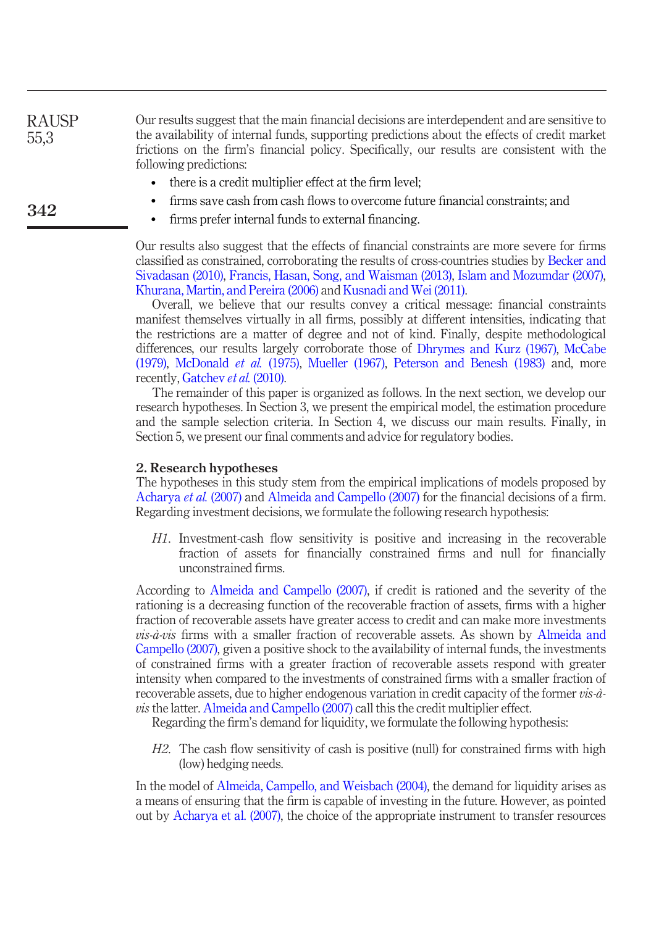Our results suggest that the main financial decisions are interdependent and are sensitive to the availability of internal funds, supporting predictions about the effects of credit market frictions on the firm's financial policy. Specifically, our results are consistent with the following predictions: RAUSP 55,3

- there is a credit multiplier effect at the firm level;
- firms save cash from cash flows to overcome future financial constraints; and
- firms prefer internal funds to external financing.

Our results also suggest that the effects of financial constraints are more severe for firms classified as constrained, corroborating the results of cross-countries studies by [Becker and](#page-14-10) [Sivadasan \(2010\)](#page-14-10), [Francis, Hasan, Song, and Waisman \(2013\),](#page-14-11) [Islam and Mozumdar \(2007\),](#page-15-11) [Khurana, Martin, and Pereira \(2006\)](#page-15-12) and [Kusnadi and Wei \(2011\)](#page-15-13).

Overall, we believe that our results convey a critical message: financial constraints manifest themselves virtually in all firms, possibly at different intensities, indicating that the restrictions are a matter of degree and not of kind. Finally, despite methodological differences, our results largely corroborate those of [Dhrymes and Kurz \(1967\),](#page-14-3) [McCabe](#page-15-5) [\(1979\)](#page-15-5), [McDonald](#page-15-6) et al. (1975), [Mueller \(1967\),](#page-15-7) [Peterson and Benesh \(1983\)](#page-15-8) and, more recently, [Gatchev](#page-15-9) *et al.* (2010).

The remainder of this paper is organized as follows. In the next section, we develop our research hypotheses. In Section 3, we present the empirical model, the estimation procedure and the sample selection criteria. In Section 4, we discuss our main results. Finally, in Section 5, we present our final comments and advice for regulatory bodies.

#### 2. Research hypotheses

342

The hypotheses in this study stem from the empirical implications of models proposed by [Acharya](#page-14-1) et al. (2007) and [Almeida and Campello \(2007\)](#page-14-2) for the financial decisions of a firm. Regarding investment decisions, we formulate the following research hypothesis:

H1. Investment-cash flow sensitivity is positive and increasing in the recoverable fraction of assets for financially constrained firms and null for financially unconstrained firms.

According to [Almeida and Campello \(2007\),](#page-14-2) if credit is rationed and the severity of the rationing is a decreasing function of the recoverable fraction of assets, firms with a higher fraction of recoverable assets have greater access to credit and can make more investments  $vis-\hat{a}-vis$  firms with a smaller fraction of recoverable assets. As shown by [Almeida and](#page-14-2) [Campello \(2007\),](#page-14-2) given a positive shock to the availability of internal funds, the investments of constrained firms with a greater fraction of recoverable assets respond with greater intensity when compared to the investments of constrained firms with a smaller fraction of recoverable assets, due to higher endogenous variation in credit capacity of the former vis-à-vis the latter. [Almeida and Campello \(2007\)](#page-14-2) call this the credit multiplier effect.

Regarding the firm's demand for liquidity, we formulate the following hypothesis:

H2. The cash flow sensitivity of cash is positive (null) for constrained firms with high (low) hedging needs.

In the model of [Almeida, Campello, and Weisbach \(2004\),](#page-14-12) the demand for liquidity arises as a means of ensuring that the firm is capable of investing in the future. However, as pointed out by [Acharya et al. \(2007\)](#page-14-1), the choice of the appropriate instrument to transfer resources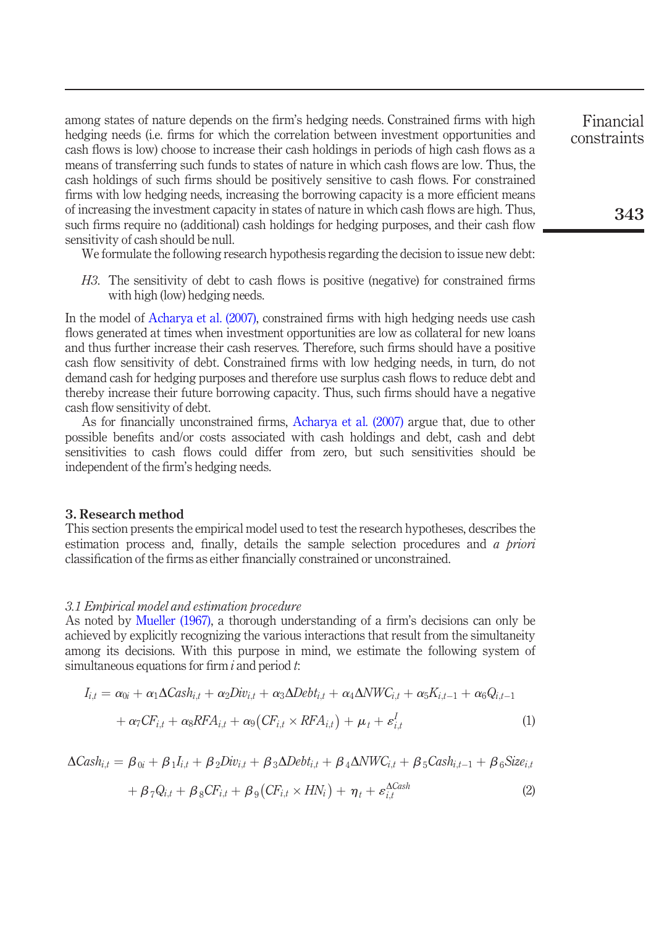<span id="page-4-0"></span>among states of nature depends on the firm's hedging needs. Constrained firms with high hedging needs (i.e. firms for which the correlation between investment opportunities and cash flows is low) choose to increase their cash holdings in periods of high cash flows as a means of transferring such funds to states of nature in which cash flows are low. Thus, the cash holdings of such firms should be positively sensitive to cash flows. For constrained firms with low hedging needs, increasing the borrowing capacity is a more efficient means of increasing the investment capacity in states of nature in which cash flows are high. Thus, such firms require no (additional) cash holdings for hedging purposes, and their cash flow sensitivity of cash should be null.

We formulate the following research hypothesis regarding the decision to issue new debt:

H3. The sensitivity of debt to cash flows is positive (negative) for constrained firms with high (low) hedging needs.

In the model of [Acharya et al. \(2007\)](#page-14-1), constrained firms with high hedging needs use cash flows generated at times when investment opportunities are low as collateral for new loans and thus further increase their cash reserves. Therefore, such firms should have a positive cash flow sensitivity of debt. Constrained firms with low hedging needs, in turn, do not demand cash for hedging purposes and therefore use surplus cash flows to reduce debt and thereby increase their future borrowing capacity. Thus, such firms should have a negative cash flow sensitivity of debt.

As for financially unconstrained firms, [Acharya et al. \(2007\)](#page-14-1) argue that, due to other possible benefits and/or costs associated with cash holdings and debt, cash and debt sensitivities to cash flows could differ from zero, but such sensitivities should be independent of the firm's hedging needs.

#### 3. Research method

This section presents the empirical model used to test the research hypotheses, describes the estimation process and, finally, details the sample selection procedures and  $\alpha$  priori classification of the firms as either financially constrained or unconstrained.

#### 3.1 Empirical model and estimation procedure

As noted by [Mueller \(1967\),](#page-15-7) a thorough understanding of a firm's decisions can only be achieved by explicitly recognizing the various interactions that result from the simultaneity among its decisions. With this purpose in mind, we estimate the following system of simultaneous equations for firm  $i$  and period  $t$ .

$$
I_{i,t} = \alpha_{0i} + \alpha_1 \Delta Cash_{i,t} + \alpha_2 Div_{i,t} + \alpha_3 \Delta Debt_{i,t} + \alpha_4 \Delta NWC_{i,t} + \alpha_5 K_{i,t-1} + \alpha_6 Q_{i,t-1} + \alpha_7 CF_{i,t} + \alpha_8 RFA_{i,t} + \alpha_9 (CF_{i,t} \times RFA_{i,t}) + \mu_t + \varepsilon_{i,t}^I
$$
\n(1)

$$
\Delta Cash_{i,t} = \beta_{0i} + \beta_1 I_{i,t} + \beta_2 Div_{i,t} + \beta_3 \Delta Debt_{i,t} + \beta_4 \Delta NWC_{i,t} + \beta_5 Cash_{i,t-1} + \beta_6 Size_{i,t} + \beta_7 Q_{i,t} + \beta_8 CF_{i,t} + \beta_9 (CF_{i,t} \times HN_i) + \eta_t + \varepsilon_{i,t}^{ACash}
$$
\n(2)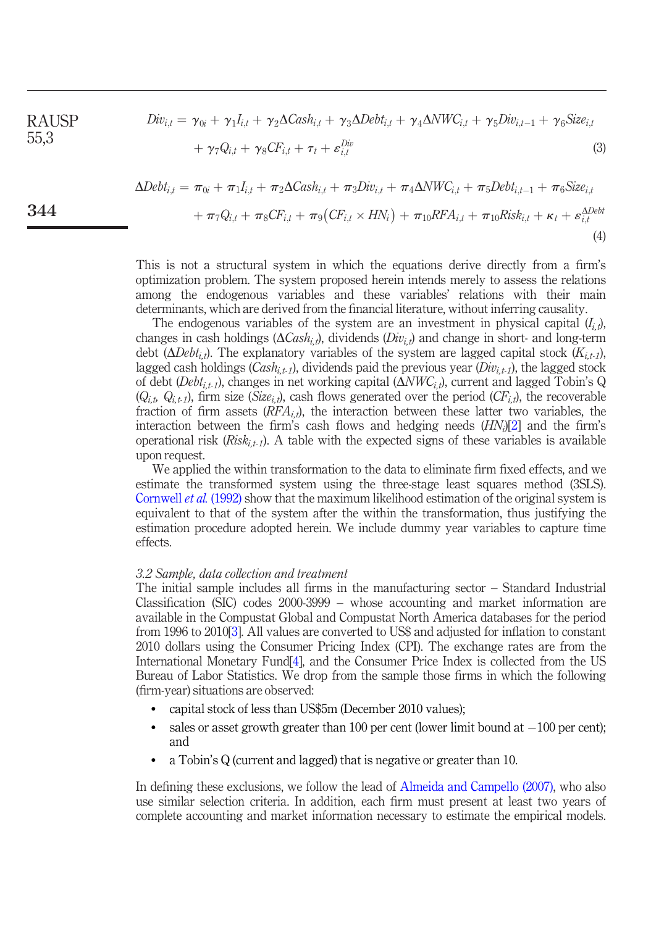<span id="page-5-0"></span>RAUSP 
$$
Div_{i,t} = \gamma_{0i} + \gamma_1 I_{i,t} + \gamma_2 \Delta Cash_{i,t} + \gamma_3 \Delta Debt_{i,t} + \gamma_4 \Delta NWC_{i,t} + \gamma_5 Div_{i,t-1} + \gamma_6 Size_{i,t} + \gamma_7 Q_{i,t} + \gamma_8 CF_{i,t} + \tau_t + \varepsilon_{i,t}^{Div}
$$
\n(3)

$$
\Delta Debt_{i,t} = \pi_{0i} + \pi_1 I_{i,t} + \pi_2 \Delta Cash_{i,t} + \pi_3 Div_{i,t} + \pi_4 \Delta NWC_{i,t} + \pi_5 Debt_{i,t-1} + \pi_6 Size_{i,t} + \pi_7 Q_{i,t} + \pi_8 CF_{i,t} + \pi_9 (CF_{i,t} \times HN_i) + \pi_{10} RFA_{i,t} + \pi_{10} Risk_{i,t} + \kappa_t + \varepsilon_{i,t}^{\Delta Debt}
$$
\n(4)

This is not a structural system in which the equations derive directly from a firm's optimization problem. The system proposed herein intends merely to assess the relations among the endogenous variables and these variables' relations with their main determinants, which are derived from the financial literature, without inferring causality.

The endogenous variables of the system are an investment in physical capital  $(I_i, t)$ , changes in cash holdings ( $\Delta Cash_{i,t}$ ), dividends ( $Div_{i,t}$ ) and change in short- and long-term debt ( $\Delta Det_{i,t}$ ). The explanatory variables of the system are lagged capital stock  $(K_{i,t-1})$ , lagged cash holdings  $(Cash_{i,t-1})$ , dividends paid the previous year  $(Div_{i,t-1})$ , the lagged stock of debt (*Debt<sub>i,t-1</sub>*), changes in net working capital ( $\Delta NWC_{i,t}$ ), current and lagged Tobin's Q  $(Q_{i,t}, Q_{i,t-1})$ , firm size (Size<sub>i,t</sub>), cash flows generated over the period (CF<sub>i,t</sub>), the recoverable fraction of firm assets  $(RFA_{i,t})$ , the interaction between these latter two variables, the interaction between the firm's cash flows and hedging needs  $(HN<sub>i</sub>)[2]$  $(HN<sub>i</sub>)[2]$  $(HN<sub>i</sub>)[2]$  and the firm's operational risk  $(Risk<sub>i,t-1</sub>)$ . A table with the expected signs of these variables is available upon request.

We applied the within transformation to the data to eliminate firm fixed effects, and we estimate the transformed system using the three-stage least squares method (3SLS). [Cornwell](#page-14-5) *et al.* (1992) show that the maximum likelihood estimation of the original system is equivalent to that of the system after the within the transformation, thus justifying the estimation procedure adopted herein. We include dummy year variables to capture time effects.

#### 3.2 Sample, data collection and treatment

344

The initial sample includes all firms in the manufacturing sector – Standard Industrial Classification (SIC) codes 2000-3999 – whose accounting and market information are available in the Compustat Global and Compustat North America databases for the period from 1996 to 2010[\[3\]](#page-13-2). All values are converted to US\$ and adjusted for inflation to constant 2010 dollars using the Consumer Pricing Index (CPI). The exchange rates are from the International Monetary Fund[\[4\]](#page-14-13), and the Consumer Price Index is collected from the US Bureau of Labor Statistics. We drop from the sample those firms in which the following (firm-year) situations are observed:

- capital stock of less than US\$5m (December 2010 values);
- $\bullet$  sales or asset growth greater than 100 per cent (lower limit bound at  $-100$  per cent); and
- a Tobin's Q (current and lagged) that is negative or greater than 10.

In defining these exclusions, we follow the lead of [Almeida and Campello \(2007\)](#page-14-2), who also use similar selection criteria. In addition, each firm must present at least two years of complete accounting and market information necessary to estimate the empirical models.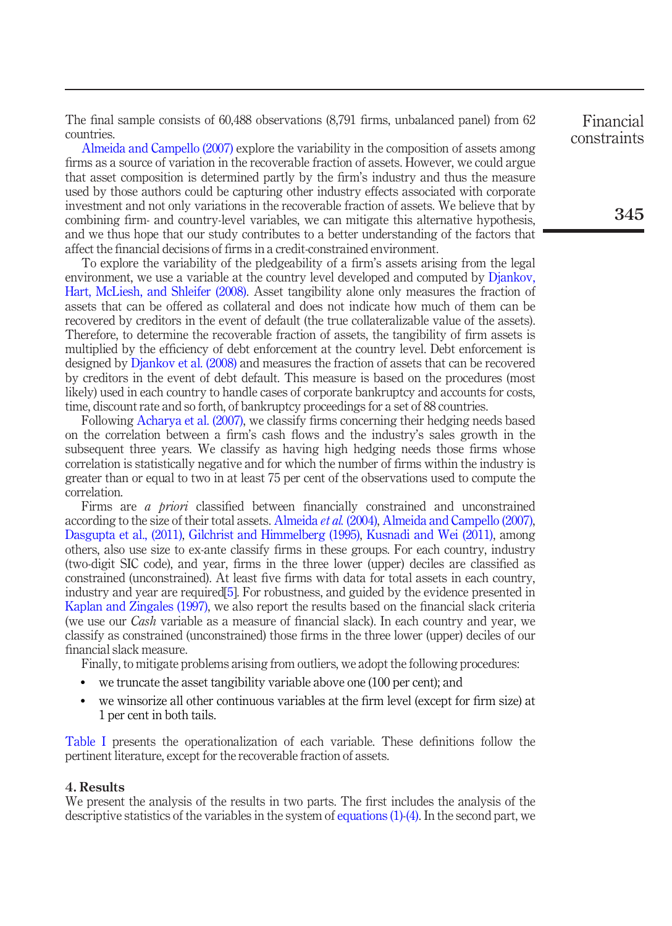The final sample consists of 60,488 observations (8,791 firms, unbalanced panel) from 62 countries.

[Almeida and Campello \(2007\)](#page-14-2) explore the variability in the composition of assets among firms as a source of variation in the recoverable fraction of assets. However, we could argue that asset composition is determined partly by the firm's industry and thus the measure used by those authors could be capturing other industry effects associated with corporate investment and not only variations in the recoverable fraction of assets. We believe that by combining firm- and country-level variables, we can mitigate this alternative hypothesis, and we thus hope that our study contributes to a better understanding of the factors that affect the financial decisions of firms in a credit-constrained environment.

To explore the variability of the pledgeability of a firm's assets arising from the legal environment, we use a variable at the country level developed and computed by [Djankov,](#page-14-14) [Hart, McLiesh, and Shleifer \(2008\).](#page-14-14) Asset tangibility alone only measures the fraction of assets that can be offered as collateral and does not indicate how much of them can be recovered by creditors in the event of default (the true collateralizable value of the assets). Therefore, to determine the recoverable fraction of assets, the tangibility of firm assets is multiplied by the efficiency of debt enforcement at the country level. Debt enforcement is designed by [Djankov et al. \(2008\)](#page-14-14) and measures the fraction of assets that can be recovered by creditors in the event of debt default. This measure is based on the procedures (most likely) used in each country to handle cases of corporate bankruptcy and accounts for costs, time, discount rate and so forth, of bankruptcy proceedings for a set of 88 countries.

Following [Acharya et al. \(2007\),](#page-14-1) we classify firms concerning their hedging needs based on the correlation between a firm's cash flows and the industry's sales growth in the subsequent three years. We classify as having high hedging needs those firms whose correlation is statistically negative and for which the number of firms within the industry is greater than or equal to two in at least 75 per cent of the observations used to compute the correlation.

Firms are *a priori* classified between financially constrained and unconstrained according to the size of their total assets. [Almeida](#page-14-12) *et al.* (2004), [Almeida and Campello \(2007\)](#page-14-2), [Dasgupta et al., \(2011\),](#page-14-7) [Gilchrist and Himmelberg \(1995\)](#page-15-14), [Kusnadi and Wei \(2011\)](#page-15-13), among others, also use size to ex-ante classify firms in these groups. For each country, industry (two-digit SIC code), and year, firms in the three lower (upper) deciles are classified as constrained (unconstrained). At least five firms with data for total assets in each country, industry and year are required[\[5](#page-14-15)]. For robustness, and guided by the evidence presented in [Kaplan and Zingales \(1997\),](#page-15-15) we also report the results based on the financial slack criteria (we use our Cash variable as a measure of financial slack). In each country and year, we classify as constrained (unconstrained) those firms in the three lower (upper) deciles of our financial slack measure.

Finally, to mitigate problems arising from outliers, we adopt the following procedures:

- we truncate the asset tangibility variable above one (100 per cent); and
- we winsorize all other continuous variables at the firm level (except for firm size) at 1 per cent in both tails.

[Table I](#page-7-0) presents the operationalization of each variable. These definitions follow the pertinent literature, except for the recoverable fraction of assets.

#### 4. Results

We present the analysis of the results in two parts. The first includes the analysis of the descriptive statistics of the variables in the system of [equations \(1\)](#page-4-0)[-\(4\)](#page-5-0). In the second part, we

Financial constraints

345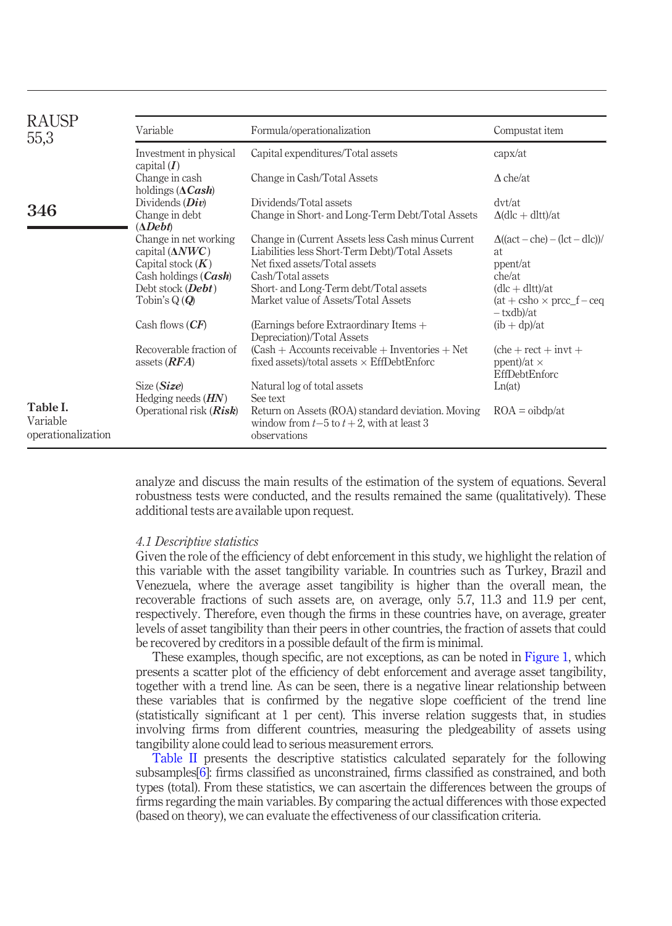| <b>RAUSP</b><br>55,3                       | Variable                                        | Formula/operationalization                                                                                        | Compustat item                                                       |
|--------------------------------------------|-------------------------------------------------|-------------------------------------------------------------------------------------------------------------------|----------------------------------------------------------------------|
|                                            | Investment in physical<br>capital $(I)$         | Capital expenditures/Total assets                                                                                 | $\text{capx}/\text{at}$                                              |
|                                            | Change in cash<br>holdings $(\Delta Cash)$      | Change in Cash/Total Assets                                                                                       | $\Delta$ che/at                                                      |
|                                            | Dividends $(Div)$                               | Dividends/Total assets                                                                                            | dvt/at                                                               |
| 346                                        | Change in debt<br>$(\Delta \textit{Debt})$      | Change in Short- and Long-Term Debt/Total Assets                                                                  | $\Delta$ (dlc + dltt)/at                                             |
|                                            | Change in net working<br>capital $(\Delta NWC)$ | Change in (Current Assets less Cash minus Current<br>Liabilities less Short-Term Debt)/Total Assets               | $\Delta((\text{act}-\text{che})-(\text{lct}-\text{dlc}))$<br>at.     |
|                                            | Capital stock $(K)$                             | Net fixed assets/Total assets                                                                                     | ppent/at                                                             |
|                                            | Cash holdings $(Cash)$                          | Cash/Total assets                                                                                                 | che/at                                                               |
|                                            | Debt stock $(\textit{Debt})$                    | Short- and Long-Term debt/Total assets                                                                            | $(dlc + dltt)/at$                                                    |
|                                            | Tobin's $Q(Q)$                                  | Market value of Assets/Total Assets                                                                               | $(at + csho \times prec_f - ceq$<br>- txdb)/at                       |
|                                            | Cash flows $(CF)$                               | (Earnings before Extraordinary Items $+$<br>Depreciation)/Total Assets                                            | $(\text{ib} + \text{dp})/\text{at}$                                  |
|                                            | Recoverable fraction of<br>assets $(RFA)$       | $(Cash + Accounts receiveable + Inventories + Net)$<br>fixed assets)/total assets $\times$ EffDebtEnforc          | $(che + rect + invt +$<br>ppent)/at $\times$<br><b>EffDebtEnforc</b> |
|                                            | Size (Size)<br>Hedging needs $(HN)$             | Natural log of total assets<br>See text                                                                           | Ln(at)                                                               |
| Table I.<br>Variable<br>operationalization | Operational risk $(Risk)$                       | Return on Assets (ROA) standard deviation. Moving<br>window from $t-5$ to $t+2$ , with at least 3<br>observations | $ROA = oibdp/at$                                                     |

<span id="page-7-0"></span>analyze and discuss the main results of the estimation of the system of equations. Several robustness tests were conducted, and the results remained the same (qualitatively). These additional tests are available upon request.

#### 4.1 Descriptive statistics

Given the role of the efficiency of debt enforcement in this study, we highlight the relation of this variable with the asset tangibility variable. In countries such as Turkey, Brazil and Venezuela, where the average asset tangibility is higher than the overall mean, the recoverable fractions of such assets are, on average, only 5.7, 11.3 and 11.9 per cent, respectively. Therefore, even though the firms in these countries have, on average, greater levels of asset tangibility than their peers in other countries, the fraction of assets that could be recovered by creditors in a possible default of the firm is minimal.

These examples, though specific, are not exceptions, as can be noted in [Figure 1](#page-8-0), which presents a scatter plot of the efficiency of debt enforcement and average asset tangibility, together with a trend line. As can be seen, there is a negative linear relationship between these variables that is confirmed by the negative slope coefficient of the trend line (statistically significant at 1 per cent). This inverse relation suggests that, in studies involving firms from different countries, measuring the pledgeability of assets using tangibility alone could lead to serious measurement errors.

[Table II](#page-9-0) presents the descriptive statistics calculated separately for the following subsamples[[6](#page-14-16)]: firms classified as unconstrained, firms classified as constrained, and both types (total). From these statistics, we can ascertain the differences between the groups of firms regarding the main variables. By comparing the actual differences with those expected (based on theory), we can evaluate the effectiveness of our classification criteria.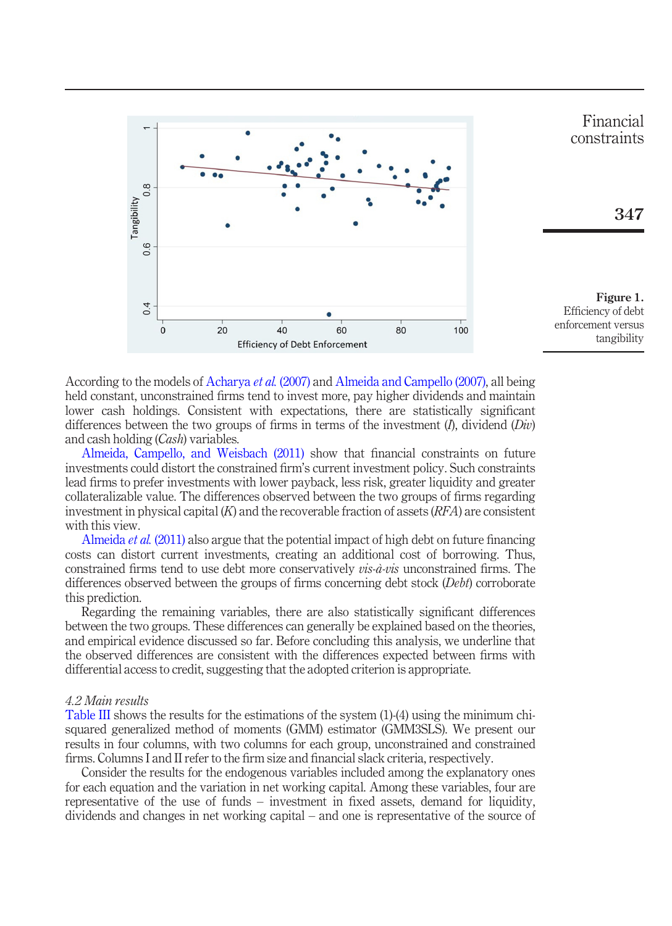

<span id="page-8-0"></span>According to the models of [Acharya](#page-14-1) et al. (2007) and [Almeida and Campello \(2007\),](#page-14-2) all being held constant, unconstrained firms tend to invest more, pay higher dividends and maintain lower cash holdings. Consistent with expectations, there are statistically significant differences between the two groups of firms in terms of the investment  $(l)$ , dividend  $(Div)$ and cash holding (Cash) variables.

[Almeida, Campello, and Weisbach \(2011\)](#page-14-17) show that financial constraints on future investments could distort the constrained firm's current investment policy. Such constraints lead firms to prefer investments with lower payback, less risk, greater liquidity and greater collateralizable value. The differences observed between the two groups of firms regarding investment in physical capital  $(K)$  and the recoverable fraction of assets  $(RFA)$  are consistent with this view.

[Almeida](#page-14-17) et al. (2011) also argue that the potential impact of high debt on future financing costs can distort current investments, creating an additional cost of borrowing. Thus, constrained firms tend to use debt more conservatively *vis-à-vis* unconstrained firms. The differences observed between the groups of firms concerning debt stock (Debt) corroborate this prediction.

Regarding the remaining variables, there are also statistically significant differences between the two groups. These differences can generally be explained based on the theories, and empirical evidence discussed so far. Before concluding this analysis, we underline that the observed differences are consistent with the differences expected between firms with differential access to credit, suggesting that the adopted criterion is appropriate.

#### 4.2 Main results

[Table III](#page-10-0) shows the results for the estimations of the system (1)-(4) using the minimum chisquared generalized method of moments (GMM) estimator (GMM3SLS). We present our results in four columns, with two columns for each group, unconstrained and constrained firms. Columns I and II refer to the firm size and financial slack criteria, respectively.

Consider the results for the endogenous variables included among the explanatory ones for each equation and the variation in net working capital. Among these variables, four are representative of the use of funds – investment in fixed assets, demand for liquidity, dividends and changes in net working capital – and one is representative of the source of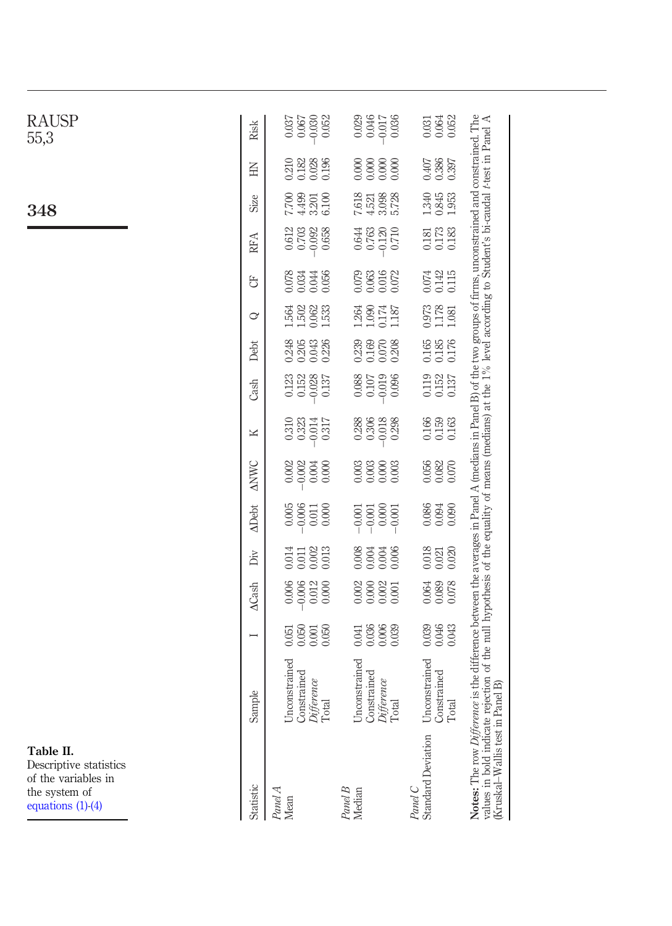<span id="page-9-0"></span>

| <b>RAUSP</b><br>55,3                                                                               | Risk         | $-0.030$<br>0.052<br>0.067<br>0.037                        | 0.046<br>$-0.017$<br>0.036<br>0.029                        | 0.064<br>0.052<br>0.031                                |                                                                                                                                                                                                                                                                                                                                                                            |
|----------------------------------------------------------------------------------------------------|--------------|------------------------------------------------------------|------------------------------------------------------------|--------------------------------------------------------|----------------------------------------------------------------------------------------------------------------------------------------------------------------------------------------------------------------------------------------------------------------------------------------------------------------------------------------------------------------------------|
|                                                                                                    | Ě            | 0.210<br>0.182<br>0.028<br>0.196                           | 0.000<br>0.000<br>0.000<br>0.000                           | 0.386<br>0.407                                         |                                                                                                                                                                                                                                                                                                                                                                            |
| 348                                                                                                | Size         | 4.499<br>7.700<br>6.100<br>3.201                           | 7.618<br>3.098<br>5.728<br>4.521                           | 1.340<br>0.845                                         |                                                                                                                                                                                                                                                                                                                                                                            |
|                                                                                                    | RFA          | 0.612<br>$-0.092$<br>0.703<br>0.658                        | 0.644<br>0.763<br>0.710<br>$-0.120$                        | 0.173<br>0.181                                         |                                                                                                                                                                                                                                                                                                                                                                            |
|                                                                                                    | 5            | 0.078<br>0.056<br>0.034<br>0.044                           | 0.016<br>0.079<br>0.063<br>0.072                           | 0.142<br>0.074<br>0.115                                |                                                                                                                                                                                                                                                                                                                                                                            |
|                                                                                                    | ♂            | $1.502$<br>1.564<br>0.062<br>1.533                         | 0.174<br>1.264<br>1.090<br>1.187                           | $\begin{array}{c} 0.973 \\ 1.178 \\ 1.081 \end{array}$ |                                                                                                                                                                                                                                                                                                                                                                            |
|                                                                                                    | Debt         | 0.248<br>0.205<br>0.043<br>0.226                           | 0.239<br>0.169<br>0.208<br>0.070                           | 0.165<br>0.185<br>0.176                                |                                                                                                                                                                                                                                                                                                                                                                            |
|                                                                                                    | Cash         | 0.123<br>0.152<br>$-0.028$<br>0.137                        | 0.019<br>0.088<br>0.107<br>0.096                           | 0.119<br>0.152<br>0.137                                |                                                                                                                                                                                                                                                                                                                                                                            |
|                                                                                                    | K            | 0.310<br>0.323<br>0.317<br>$-0.014$                        | 0.288<br>0.306<br>$-0.018$<br>0.298                        | 0.166<br>0.159<br>0.163                                |                                                                                                                                                                                                                                                                                                                                                                            |
|                                                                                                    | <b>ANWC</b>  | 0.002<br>0.002<br>0.000<br>0.004                           | 0.003<br>0.003<br>0.000<br>0.003                           | 0.056<br>0.082<br>0.070                                |                                                                                                                                                                                                                                                                                                                                                                            |
|                                                                                                    | <b>ADebt</b> | 0.005<br>0.006<br>0.000<br>0.011                           | 0.000<br>$-0.001$<br>$-0.001$<br>$-0.001$                  | 0.086<br>0.094<br>0.090                                |                                                                                                                                                                                                                                                                                                                                                                            |
|                                                                                                    | Ďiv          | 0.014<br>$0.002$<br>0.013<br>0.011                         | $0.008\,$<br>0.006<br>$0.004$<br>0.004                     | 0.018<br>$0.021$<br>$0.020$                            |                                                                                                                                                                                                                                                                                                                                                                            |
|                                                                                                    | <b>ACash</b> | 0.006<br>$-0.006$<br>0.012<br>0.000                        | 0.000<br>0.002<br>0.002<br>0.001                           | 0.089<br>0.078<br>0.064                                |                                                                                                                                                                                                                                                                                                                                                                            |
|                                                                                                    | I            | 0.050<br>0.050<br>0.001<br>0.051                           | 0.036<br>0.006<br>0.039<br>0.041                           | 0.039<br>0.046<br>0.043                                |                                                                                                                                                                                                                                                                                                                                                                            |
|                                                                                                    | Sample       | Unconstrained<br>Constrained<br><i>Difference</i><br>Total | Unconstrained<br>Constrained<br><i>Difference</i><br>Total | Unconstrained<br>Constrained<br>Total                  |                                                                                                                                                                                                                                                                                                                                                                            |
| Table II.<br>Descriptive statistics<br>of the variables in<br>the system of<br>equations $(1)-(4)$ | Statistic    | $Panel\,A$ Mean                                            | Panel B<br>Median                                          | Panel C<br>Standard Deviation                          | Notes: The row Difference is the difference between the averages in Panel A (medians in Panel B) of the two groups of firms, unconstrained and constrained. The<br>values in bold indicate rejection of the null hypothesis of the equality of means (medians) at the 1% level according to Student's bi-caudal <i>t</i> -test in Panel A (Kruskal–Wallis test in Panel A) |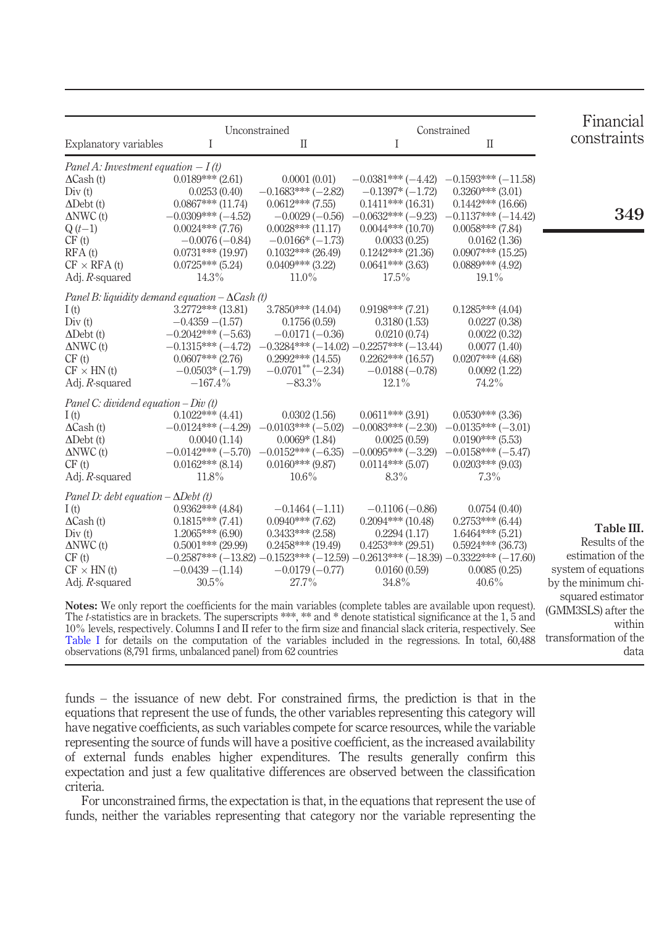|                                                                                                                                                                                                                                        |                       | Unconstrained                                                              | Constrained         |                      | Financial                                |
|----------------------------------------------------------------------------------------------------------------------------------------------------------------------------------------------------------------------------------------|-----------------------|----------------------------------------------------------------------------|---------------------|----------------------|------------------------------------------|
| Explanatory variables                                                                                                                                                                                                                  | I                     | $\mathcal{I}$                                                              | I                   | $\mathbf{I}$         | constraints                              |
| Panel A: Investment equation $-I(t)$                                                                                                                                                                                                   |                       |                                                                            |                     |                      |                                          |
| $\Delta$ Cash (t)                                                                                                                                                                                                                      | $0.0189***$ (2.61)    | 0.0001(0.01)                                                               | $-0.0381***(-4.42)$ | $-0.1593***(-11.58)$ |                                          |
| Div(t)                                                                                                                                                                                                                                 | 0.0253(0.40)          | $-0.1683***(-2.82)$                                                        | $-0.1397*(-1.72)$   | $0.3260***$ (3.01)   |                                          |
| $\Delta$ Debt (t)                                                                                                                                                                                                                      | $0.0867***$ (11.74)   | $0.0612***$ (7.55)                                                         | $0.1411***$ (16.31) | $0.1442***$ (16.66)  |                                          |
| $\triangle NWC(t)$                                                                                                                                                                                                                     | $-0.0309***(-4.52)$   | $-0.0029(-0.56)$                                                           | $-0.0632***(-9.23)$ | $-0.1137***(-14.42)$ | 349                                      |
| $Q(t-1)$                                                                                                                                                                                                                               | $0.0024***$ (7.76)    | $0.0028***$ (11.17)                                                        | $0.0044***$ (10.70) | $0.0058***$ (7.84)   |                                          |
| CF(t)                                                                                                                                                                                                                                  | $-0.0076(-0.84)$      | $-0.0166*(-1.73)$                                                          | 0.0033(0.25)        | 0.0162(1.36)         |                                          |
| RFA(t)                                                                                                                                                                                                                                 | $0.0731***$ (19.97)   | $0.1032***$ (26.49)                                                        | $0.1242***$ (21.36) | $0.0907***$ (15.25)  |                                          |
| $CF \times RFA$ (t)                                                                                                                                                                                                                    | $0.0725***$ (5.24)    | $0.0409***$ (3.22)                                                         | $0.0641***$ (3.63)  | $0.0889***$ (4.92)   |                                          |
| Adj. $R$ -squared                                                                                                                                                                                                                      | 14.3%                 | $11.0\%$                                                                   | $17.5\%$            | $19.1\%$             |                                          |
| Panel B: liquidity demand equation $-\Delta$ Cash (t)                                                                                                                                                                                  |                       |                                                                            |                     |                      |                                          |
| I(t)                                                                                                                                                                                                                                   | $3.2772***$ (13.81)   | $3.7850***$ (14.04)                                                        | $0.9198***$ (7.21)  | $0.1285***$ (4.04)   |                                          |
| Div(t)                                                                                                                                                                                                                                 | $-0.4359 - (1.57)$    | 0.1756(0.59)                                                               | 0.3180(1.53)        | 0.0227(0.38)         |                                          |
| $\Delta$ Debt (t)                                                                                                                                                                                                                      | $-0.2042***(-5.63)$   | $-0.0171(-0.36)$                                                           | 0.0210(0.74)        | 0.0022(0.32)         |                                          |
| $\triangle NWC(t)$                                                                                                                                                                                                                     | $-0.1315***(-4.72)$   | $-0.3284***(-14.02)-0.2257***(-13.44)$                                     |                     | 0.0077(1.40)         |                                          |
| CF(t)                                                                                                                                                                                                                                  | $0.0607***$ (2.76)    | $0.2992***$ (14.55)                                                        | $0.2262***$ (16.57) | $0.0207***$ (4.68)   |                                          |
| $CF \times HN(t)$                                                                                                                                                                                                                      | $-0.0503*(-1.79)$     | $-0.0701$ <sup>**</sup> (-2.34)                                            | $-0.0188(-0.78)$    | 0.0092(1.22)         |                                          |
| Adj. $R$ -squared                                                                                                                                                                                                                      | $-167.4\%$            | $-83.3\%$                                                                  | $12.1\%$            | 74.2%                |                                          |
| Panel C: dividend equation $-Div(t)$                                                                                                                                                                                                   |                       |                                                                            |                     |                      |                                          |
| I(t)                                                                                                                                                                                                                                   | $0.1022***$ (4.41)    | 0.0302(1.56)                                                               | $0.0611***$ (3.91)  | $0.0530***$ (3.36)   |                                          |
| $\Delta$ Cash (t)                                                                                                                                                                                                                      | $-0.0124***(-4.29)$   | $-0.0103***(-5.02)$                                                        | $-0.0083***(-2.30)$ | $-0.0135***(-3.01)$  |                                          |
| $\Delta$ Debt (t)                                                                                                                                                                                                                      | 0.0040(1.14)          | $0.0069*$ (1.84)                                                           | 0.0025(0.59)        | $0.0190***$ (5.53)   |                                          |
| $\triangle NWC(t)$                                                                                                                                                                                                                     | $-0.0142***(-5.70)$   | $-0.0152***(-6.35)$                                                        | $-0.0095***(-3.29)$ | $-0.0158***(-5.47)$  |                                          |
| CF(t)                                                                                                                                                                                                                                  | $0.0162$ *** $(8.14)$ | $0.0160***$ (9.87)                                                         | $0.0114***$ (5.07)  | $0.0203***$ (9.03)   |                                          |
| Adj. $R$ -squared                                                                                                                                                                                                                      | $11.8\%$              | $10.6\%$                                                                   | $8.3\%$             | $7.3\%$              |                                          |
| Panel D: debt equation $-\Delta$ Debt (t)                                                                                                                                                                                              |                       |                                                                            |                     |                      |                                          |
| I(t)                                                                                                                                                                                                                                   | $0.9362***$ (4.84)    | $-0.1464(-1.11)$                                                           | $-0.1106(-0.86)$    | 0.0754(0.40)         |                                          |
| $\Delta$ Cash (t)                                                                                                                                                                                                                      | $0.1815***$ (7.41)    | $0.0940$ *** (7.62)                                                        | $0.2094***$ (10.48) | $0.2753***$ (6.44)   |                                          |
| Div(t)                                                                                                                                                                                                                                 | $1.2065***(6.90)$     | $0.3433***$ (2.58)                                                         | 0.2294(1.17)        | $1.6464***$ (5.21)   | Table III.                               |
| $\triangle NWC(t)$                                                                                                                                                                                                                     | $0.5001$ *** (29.99)  | $0.2458***$ (19.49)                                                        | $0.4253***$ (29.51) | $0.5924***$ (36.73)  | Results of the                           |
| CF(t)                                                                                                                                                                                                                                  |                       | $-0.2587***(-13.82)-0.1523***(-12.59)-0.2613***(-18.39)-0.3322***(-17.60)$ |                     |                      | estimation of the                        |
| $CF \times HN(t)$                                                                                                                                                                                                                      | $-0.0439 - (1.14)$    | $-0.0179(-0.77)$                                                           | 0.0160(0.59)        | 0.0085(0.25)         | system of equations                      |
| Adj. R-squared                                                                                                                                                                                                                         | $30.5\%$              | 27.7%                                                                      | 34.8%               | $40.6\%$             | by the minimum chi-                      |
| Notes: We only report the coefficients for the main variables (complete tables are available upon request).                                                                                                                            |                       |                                                                            |                     |                      | squared estimator<br>(GMM3SLS) after the |
| The t-statistics are in brackets. The superscripts ***, ** and * denote statistical significance at the 1, 5 and<br>$10\%$ levels, respectively Columns L and II refer to the firm size and financial slack criteria, respectively See |                       |                                                                            |                     |                      | within                                   |

[Table I](#page-7-0) for details on the computation of the variables included in the regressions. In total, 60,488 transformation of the 10% levels, respectively. Columns I and II refer to the firm size and financial slack criteria, respectively. See observations (8,791 firms, unbalanced panel) from 62 countries

<span id="page-10-0"></span>data

funds – the issuance of new debt. For constrained firms, the prediction is that in the equations that represent the use of funds, the other variables representing this category will have negative coefficients, as such variables compete for scarce resources, while the variable representing the source of funds will have a positive coefficient, as the increased availability of external funds enables higher expenditures. The results generally confirm this expectation and just a few qualitative differences are observed between the classification criteria.

For unconstrained firms, the expectation is that, in the equations that represent the use of funds, neither the variables representing that category nor the variable representing the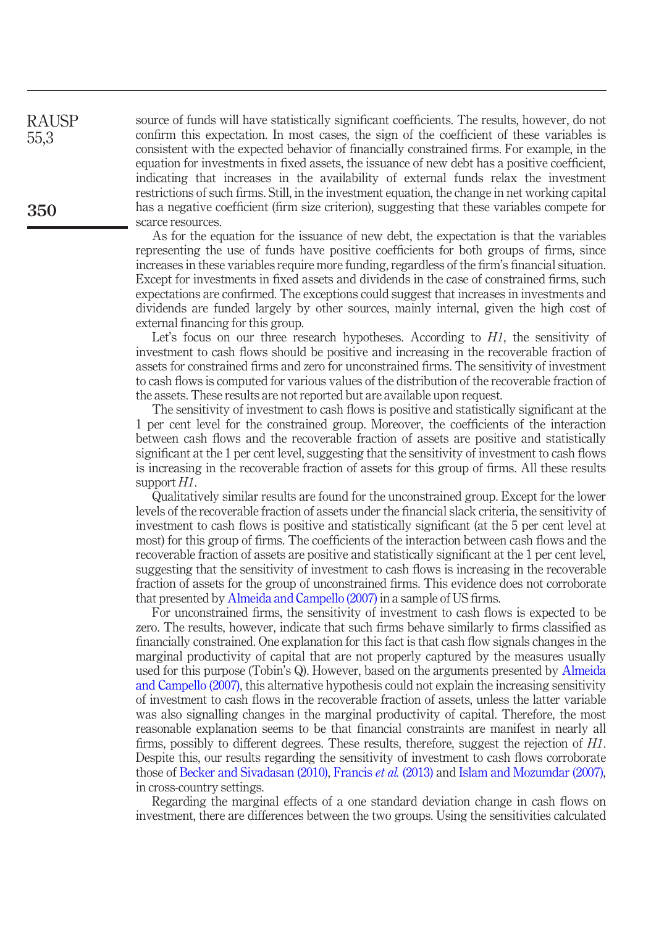source of funds will have statistically significant coefficients. The results, however, do not confirm this expectation. In most cases, the sign of the coefficient of these variables is consistent with the expected behavior of financially constrained firms. For example, in the equation for investments in fixed assets, the issuance of new debt has a positive coefficient, indicating that increases in the availability of external funds relax the investment restrictions of such firms. Still, in the investment equation, the change in net working capital has a negative coefficient (firm size criterion), suggesting that these variables compete for scarce resources.

As for the equation for the issuance of new debt, the expectation is that the variables representing the use of funds have positive coefficients for both groups of firms, since increases in these variables require more funding, regardless of the firm's financial situation. Except for investments in fixed assets and dividends in the case of constrained firms, such expectations are confirmed. The exceptions could suggest that increases in investments and dividends are funded largely by other sources, mainly internal, given the high cost of external financing for this group.

Let's focus on our three research hypotheses. According to  $H1$ , the sensitivity of investment to cash flows should be positive and increasing in the recoverable fraction of assets for constrained firms and zero for unconstrained firms. The sensitivity of investment to cash flows is computed for various values of the distribution of the recoverable fraction of the assets. These results are not reported but are available upon request.

The sensitivity of investment to cash flows is positive and statistically significant at the 1 per cent level for the constrained group. Moreover, the coefficients of the interaction between cash flows and the recoverable fraction of assets are positive and statistically significant at the 1 per cent level, suggesting that the sensitivity of investment to cash flows is increasing in the recoverable fraction of assets for this group of firms. All these results support  $H1$ .

Qualitatively similar results are found for the unconstrained group. Except for the lower levels of the recoverable fraction of assets under the financial slack criteria, the sensitivity of investment to cash flows is positive and statistically significant (at the 5 per cent level at most) for this group of firms. The coefficients of the interaction between cash flows and the recoverable fraction of assets are positive and statistically significant at the 1 per cent level, suggesting that the sensitivity of investment to cash flows is increasing in the recoverable fraction of assets for the group of unconstrained firms. This evidence does not corroborate that presented by [Almeida and Campello \(2007\)](#page-14-2) in a sample of US firms.

For unconstrained firms, the sensitivity of investment to cash flows is expected to be zero. The results, however, indicate that such firms behave similarly to firms classified as financially constrained. One explanation for this fact is that cash flow signals changes in the marginal productivity of capital that are not properly captured by the measures usually used for this purpose (Tobin's Q). However, based on the arguments presented by [Almeida](#page-14-2) [and Campello \(2007\)](#page-14-2), this alternative hypothesis could not explain the increasing sensitivity of investment to cash flows in the recoverable fraction of assets, unless the latter variable was also signalling changes in the marginal productivity of capital. Therefore, the most reasonable explanation seems to be that financial constraints are manifest in nearly all firms, possibly to different degrees. These results, therefore, suggest the rejection of H1. Despite this, our results regarding the sensitivity of investment to cash flows corroborate those of [Becker and Sivadasan \(2010\),](#page-14-10) [Francis](#page-14-11) et al. (2013) and [Islam and Mozumdar \(2007\),](#page-15-11) in cross-country settings.

Regarding the marginal effects of a one standard deviation change in cash flows on investment, there are differences between the two groups. Using the sensitivities calculated

RAUSP 55,3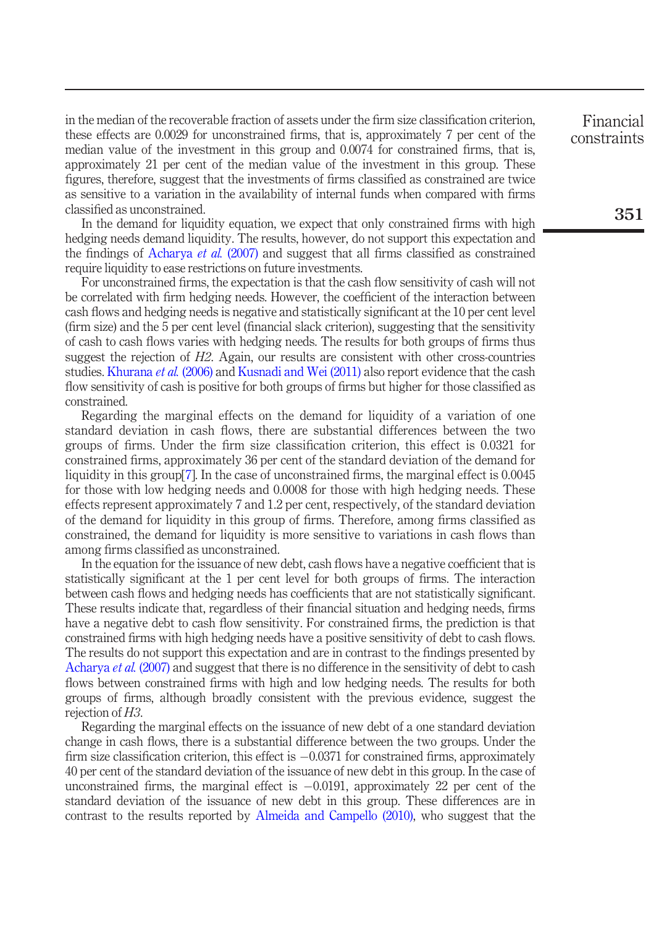in the median of the recoverable fraction of assets under the firm size classification criterion, these effects are 0.0029 for unconstrained firms, that is, approximately 7 per cent of the median value of the investment in this group and 0.0074 for constrained firms, that is, approximately 21 per cent of the median value of the investment in this group. These figures, therefore, suggest that the investments of firms classified as constrained are twice as sensitive to a variation in the availability of internal funds when compared with firms classified as unconstrained.

In the demand for liquidity equation, we expect that only constrained firms with high hedging needs demand liquidity. The results, however, do not support this expectation and the findings of [Acharya](#page-14-1) et al. (2007) and suggest that all firms classified as constrained require liquidity to ease restrictions on future investments.

For unconstrained firms, the expectation is that the cash flow sensitivity of cash will not be correlated with firm hedging needs. However, the coefficient of the interaction between cash flows and hedging needs is negative and statistically significant at the 10 per cent level (firm size) and the 5 per cent level (financial slack criterion), suggesting that the sensitivity of cash to cash flows varies with hedging needs. The results for both groups of firms thus suggest the rejection of  $H2$ . Again, our results are consistent with other cross-countries studies. [Khurana](#page-15-12) et al. (2006) and [Kusnadi and Wei \(2011\)](#page-15-13) also report evidence that the cash flow sensitivity of cash is positive for both groups of firms but higher for those classified as constrained.

Regarding the marginal effects on the demand for liquidity of a variation of one standard deviation in cash flows, there are substantial differences between the two groups of firms. Under the firm size classification criterion, this effect is 0.0321 for constrained firms, approximately 36 per cent of the standard deviation of the demand for liquidity in this group[\[7\]](#page-14-18). In the case of unconstrained firms, the marginal effect is 0.0045 for those with low hedging needs and 0.0008 for those with high hedging needs. These effects represent approximately 7 and 1.2 per cent, respectively, of the standard deviation of the demand for liquidity in this group of firms. Therefore, among firms classified as constrained, the demand for liquidity is more sensitive to variations in cash flows than among firms classified as unconstrained.

In the equation for the issuance of new debt, cash flows have a negative coefficient that is statistically significant at the 1 per cent level for both groups of firms. The interaction between cash flows and hedging needs has coefficients that are not statistically significant. These results indicate that, regardless of their financial situation and hedging needs, firms have a negative debt to cash flow sensitivity. For constrained firms, the prediction is that constrained firms with high hedging needs have a positive sensitivity of debt to cash flows. The results do not support this expectation and are in contrast to the findings presented by [Acharya](#page-14-1) *et al.* (2007) and suggest that there is no difference in the sensitivity of debt to cash flows between constrained firms with high and low hedging needs. The results for both groups of firms, although broadly consistent with the previous evidence, suggest the rejection of H3.

Regarding the marginal effects on the issuance of new debt of a one standard deviation change in cash flows, there is a substantial difference between the two groups. Under the firm size classification criterion, this effect is  $-0.0371$  for constrained firms, approximately 40 per cent of the standard deviation of the issuance of new debt in this group. In the case of unconstrained firms, the marginal effect is  $-0.0191$ , approximately 22 per cent of the standard deviation of the issuance of new debt in this group. These differences are in contrast to the results reported by [Almeida and Campello \(2010\)](#page-14-19), who suggest that the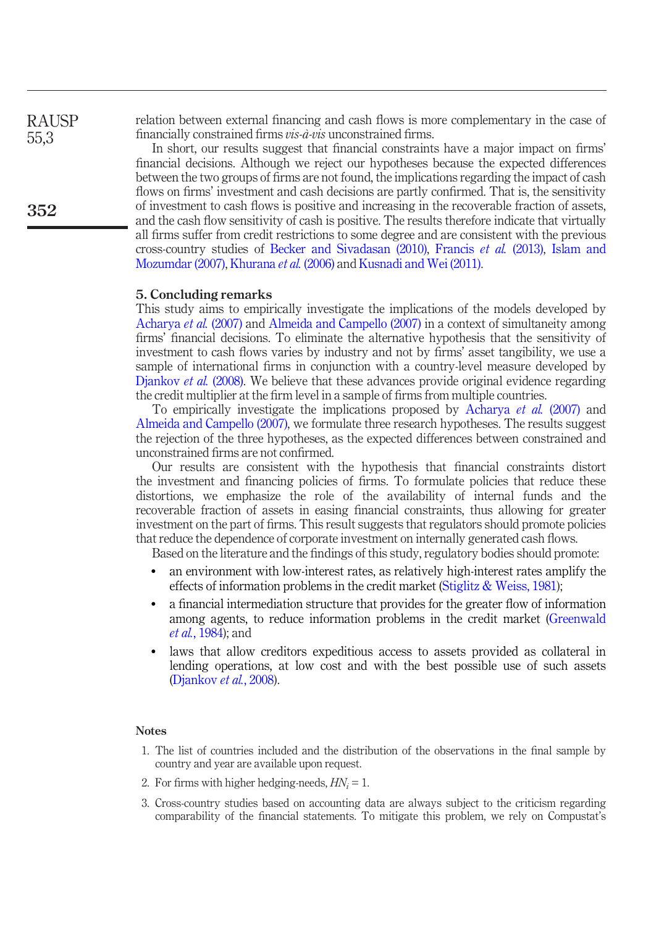relation between external financing and cash flows is more complementary in the case of financially constrained firms vis-à-vis unconstrained firms.

In short, our results suggest that financial constraints have a major impact on firms' financial decisions. Although we reject our hypotheses because the expected differences between the two groups of firms are not found, the implications regarding the impact of cash flows on firms' investment and cash decisions are partly confirmed. That is, the sensitivity of investment to cash flows is positive and increasing in the recoverable fraction of assets, and the cash flow sensitivity of cash is positive. The results therefore indicate that virtually all firms suffer from credit restrictions to some degree and are consistent with the previous cross-country studies of [Becker and Sivadasan \(2010\),](#page-14-10) [Francis](#page-14-11) et al. (2013), [Islam and](#page-15-11) [Mozumdar \(2007\)](#page-15-11), [Khurana](#page-15-12) et al. (2006) and [Kusnadi and Wei \(2011\)](#page-15-13).

#### 5. Concluding remarks

This study aims to empirically investigate the implications of the models developed by [Acharya](#page-14-1) et al. (2007) and [Almeida and Campello \(2007\)](#page-14-2) in a context of simultaneity among firms' financial decisions. To eliminate the alternative hypothesis that the sensitivity of investment to cash flows varies by industry and not by firms' asset tangibility, we use a sample of international firms in conjunction with a country-level measure developed by [Djankov](#page-14-14) et al. (2008). We believe that these advances provide original evidence regarding the credit multiplier at the firm level in a sample of firms from multiple countries.

To empirically investigate the implications proposed by [Acharya](#page-14-1) et al. (2007) and [Almeida and Campello \(2007\)](#page-14-2), we formulate three research hypotheses. The results suggest the rejection of the three hypotheses, as the expected differences between constrained and unconstrained firms are not confirmed.

Our results are consistent with the hypothesis that financial constraints distort the investment and financing policies of firms. To formulate policies that reduce these distortions, we emphasize the role of the availability of internal funds and the recoverable fraction of assets in easing financial constraints, thus allowing for greater investment on the part of firms. This result suggests that regulators should promote policies that reduce the dependence of corporate investment on internally generated cash flows.

Based on the literature and the findings of this study, regulatory bodies should promote:

- an environment with low-interest rates, as relatively high-interest rates amplify the effects of information problems in the credit market ([Stiglitz & Weiss, 1981\)](#page-15-1);
- a financial intermediation structure that provides for the greater flow of information among agents, to reduce information problems in the credit market [\(Greenwald](#page-15-2) et al.[, 1984\)](#page-15-2); and
- laws that allow creditors expeditious access to assets provided as collateral in lending operations, at low cost and with the best possible use of such assets [\(Djankov](#page-14-14) et al., 2008).

#### Notes

- <span id="page-13-0"></span>1. The list of countries included and the distribution of the observations in the final sample by country and year are available upon request.
- <span id="page-13-1"></span>2. For firms with higher hedging-needs,  $HN_i = 1$ .
- <span id="page-13-2"></span>3. Cross-country studies based on accounting data are always subject to the criticism regarding comparability of the financial statements. To mitigate this problem, we rely on Compustat's

RAUSP 55,3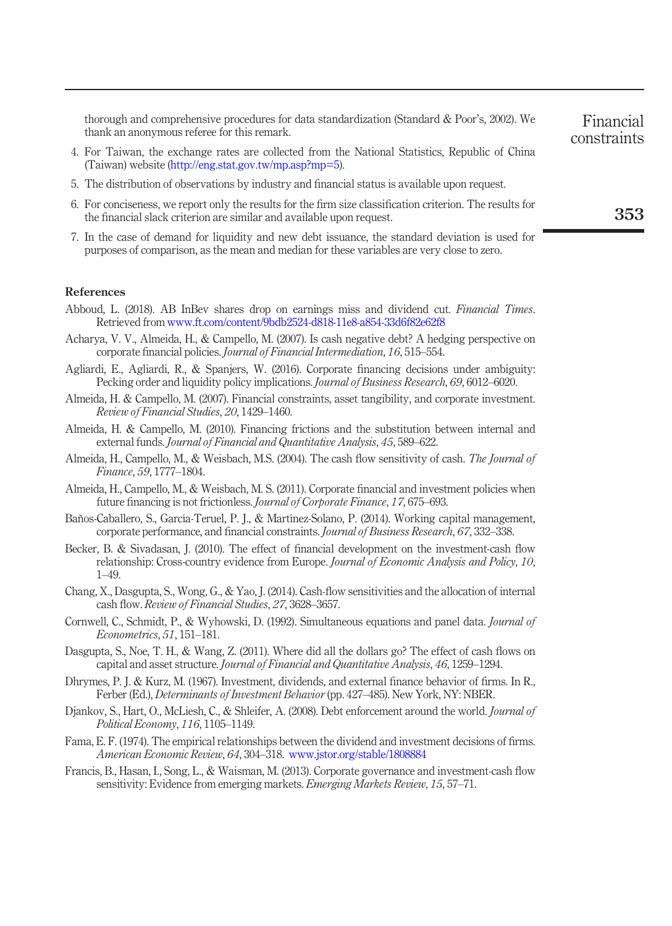thorough and comprehensive procedures for data standardization (Standard & Poor's, 2002). We thank an anonymous referee for this remark.

- <span id="page-14-13"></span>4. For Taiwan, the exchange rates are collected from the National Statistics, Republic of China (Taiwan) website [\(http://eng.stat.gov.tw/mp.asp?mp=5](http://eng.stat.gov.tw/mp.asp?mp=5)).
- <span id="page-14-15"></span>5. The distribution of observations by industry and financial status is available upon request.
- <span id="page-14-16"></span>6. For conciseness, we report only the results for the firm size classification criterion. The results for the financial slack criterion are similar and available upon request.
- <span id="page-14-18"></span>7. In the case of demand for liquidity and new debt issuance, the standard deviation is used for purposes of comparison, as the mean and median for these variables are very close to zero.

References

- <span id="page-14-0"></span>Abboud, L. (2018). AB InBev shares drop on earnings miss and dividend cut. Financial Times. Retrieved from <www.ft.com/content/9bdb2524-d818-11e8-a854-33d6f82e62f8>
- <span id="page-14-1"></span>Acharya, V. V., Almeida, H., & Campello, M. (2007). Is cash negative debt? A hedging perspective on corporate financial policies. Journal of Financial Intermediation, 16, 515–554.
- <span id="page-14-8"></span>Agliardi, E., Agliardi, R., & Spanjers, W. (2016). Corporate financing decisions under ambiguity: Pecking order and liquidity policy implications. Journal of Business Research, 69, 6012–6020.
- <span id="page-14-2"></span>Almeida, H. & Campello, M. (2007). Financial constraints, asset tangibility, and corporate investment. Review of Financial Studies, 20, 1429–1460.
- <span id="page-14-19"></span>Almeida, H. & Campello, M. (2010). Financing frictions and the substitution between internal and external funds. Journal of Financial and Quantitative Analysis, 45, 589-622.
- <span id="page-14-12"></span>Almeida, H., Campello, M., & Weisbach, M.S. (2004). The cash flow sensitivity of cash. The Journal of Finance, 59, 1777–1804.
- <span id="page-14-17"></span>Almeida, H., Campello, M., & Weisbach, M. S. (2011). Corporate financial and investment policies when future financing is not frictionless. Journal of Corporate Finance, 17, 675–693.
- <span id="page-14-9"></span>Baños-Caballero, S., García-Teruel, P. J., & Martínez-Solano, P. (2014). Working capital management, corporate performance, and financial constraints. Journal of Business Research, 67, 332–338.
- <span id="page-14-10"></span>Becker, B. & Sivadasan, J. (2010). The effect of financial development on the investment-cash flow relationship: Cross-country evidence from Europe. Journal of Economic Analysis and Policy, 10, 1–49.
- <span id="page-14-6"></span>Chang, X., Dasgupta, S., Wong, G., & Yao, J. (2014). Cash-flow sensitivities and the allocation of internal cash flow. Review of Financial Studies, 27, 3628–3657.
- <span id="page-14-5"></span>Cornwell, C., Schmidt, P., & Wyhowski, D. (1992). Simultaneous equations and panel data. *Journal of* Econometrics, 51, 151–181.
- <span id="page-14-7"></span>Dasgupta, S., Noe, T. H., & Wang, Z. (2011). Where did all the dollars go? The effect of cash flows on capital and asset structure. Journal of Financial and Quantitative Analysis, 46, 1259–1294.
- <span id="page-14-3"></span>Dhrymes, P. J. & Kurz, M. (1967). Investment, dividends, and external finance behavior of firms. In R., Ferber (Ed.), *Determinants of Investment Behavior* (pp. 427–485). New York, NY: NBER.
- <span id="page-14-14"></span>Djankov, S., Hart, O., McLiesh, C., & Shleifer, A. (2008). Debt enforcement around the world. *Journal of* Political Economy, 116, 1105–1149.
- <span id="page-14-4"></span>Fama, E. F. (1974). The empirical relationships between the dividend and investment decisions of firms. American Economic Review, 64, 304–318. [www.jstor.org/stable/1808884](http://dx.doi.org/www.jstor.org/stable/1808884)
- <span id="page-14-11"></span>Francis, B., Hasan, I., Song, L., & Waisman, M. (2013). Corporate governance and investment-cash flow sensitivity: Evidence from emerging markets. Emerging Markets Review, 15, 57–71.